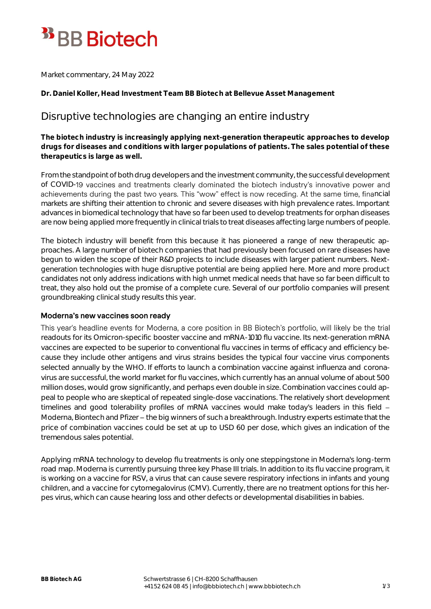# <sup>33</sup> BB Biotech

Market commentary, 24 May 2022

**Dr. Daniel Koller, Head Investment Team BB Biotech at Bellevue Asset Management**

# Disruptive technologies are changing an entire industry

**The biotech industry is increasingly applying next-generation therapeutic approaches to develop drugs for diseases and conditions with larger populations of patients. The sales potential of these therapeutics is large as well.**

From the standpoint of both drug developers and the investment community, the successful development of COVID-19 vaccines and treatments clearly dominated the biotech industry's innovative power and achievements during the past two years. This "wow" effect is now receding. At the same time, financial markets are shifting their attention to chronic and severe diseases with high prevalence rates. Important advances in biomedical technology that have so far been used to develop treatments for orphan diseases are now being applied more frequently in clinical trials to treat diseases affecting large numbers of people.

The biotech industry will benefit from this because it has pioneered a range of new therapeutic approaches. A large number of biotech companies that had previously been focused on rare diseases have begun to widen the scope of their R&D projects to include diseases with larger patient numbers. Nextgeneration technologies with huge disruptive potential are being applied here. More and more product candidates not only address indications with high unmet medical needs that have so far been difficult to treat, they also hold out the promise of a complete cure. Several of our portfolio companies will present groundbreaking clinical study results this year.

# Moderna's new vaccines soon ready

This year's headline events for Moderna, a core position in BB Biotech's portfolio, will likely be the trial readouts for its Omicron-specific booster vaccine and mRNA-1010 flu vaccine. Its next-generation mRNA vaccines are expected to be superior to conventional flu vaccines in terms of efficacy and efficiency because they include other antigens and virus strains besides the typical four vaccine virus components selected annually by the WHO. If efforts to launch a combination vaccine against influenza and coronavirus are successful, the world market for flu vaccines, which currently has an annual volume of about 500 million doses, would grow significantly, and perhaps even double in size. Combination vaccines could appeal to people who are skeptical of repeated single-dose vaccinations. The relatively short development timelines and good tolerability profiles of mRNA vaccines would make today's leaders in this field -Moderna, Biontech and Pfizer – the big winners of such a breakthrough. Industry experts estimate that the price of combination vaccines could be set at up to USD 60 per dose, which gives an indication of the tremendous sales potential.

Applying mRNA technology to develop flu treatments is only one steppingstone in Moderna's long-term road map. Moderna is currently pursuing three key Phase III trials. In addition to its flu vaccine program, it is working on a vaccine for RSV, a virus that can cause severe respiratory infections in infants and young children, and a vaccine for cytomegalovirus (CMV). Currently, there are no treatment options for this herpes virus, which can cause hearing loss and other defects or developmental disabilities in babies.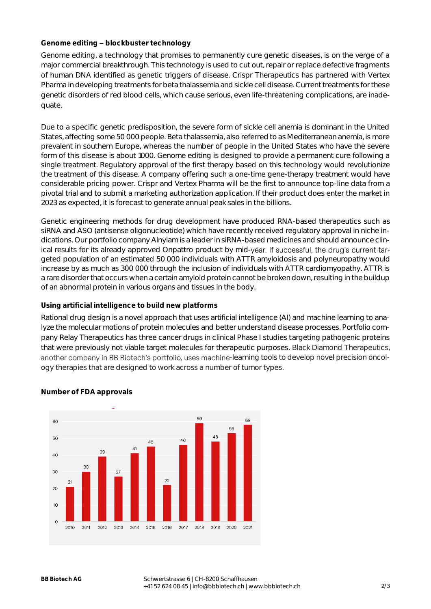# Genome editing - blockbuster technology

Genome editing, a technology that promises to permanently cure genetic diseases, is on the verge of a major commercial breakthrough. This technology is used to cut out, repair or replace defective fragments of human DNA identified as genetic triggers of disease. Crispr Therapeutics has partnered with Vertex Pharma in developing treatments for beta thalassemia and sickle cell disease. Current treatments for these genetic disorders of red blood cells, which cause serious, even life-threatening complications, are inadequate.

Due to a specific genetic predisposition, the severe form of sickle cell anemia is dominant in the United States, affecting some 50 000 people. Beta thalassemia, also referred to as Mediterranean anemia, is more prevalent in southern Europe, whereas the number of people in the United States who have the severe form of this disease is about 1000. Genome editing is designed to provide a permanent cure following a single treatment. Regulatory approval of the first therapy based on this technology would revolutionize the treatment of this disease. A company offering such a one-time gene-therapy treatment would have considerable pricing power. Crispr and Vertex Pharma will be the first to announce top-line data from a pivotal trial and to submit a marketing authorization application. If their product does enter the market in 2023 as expected, it is forecast to generate annual peak sales in the billions.

Genetic engineering methods for drug development have produced RNA-based therapeutics such as siRNA and ASO (antisense oligonucleotide) which have recently received regulatory approval in niche indications. Our portfolio company Alnylam is a leader in siRNA-based medicines and should announce clinical results for its already approved Onpattro product by mid-year. If successful, the drug's current targeted population of an estimated 50 000 individuals with ATTR amyloidosis and polyneuropathy would increase by as much as 300 000 through the inclusion of individuals with ATTR cardiomyopathy. ATTR is a rare disorder that occurs when a certain amyloid protein cannot be broken down, resulting in the buildup of an abnormal protein in various organs and tissues in the body.

## **Using artificial intelligence to build new platforms**

Rational drug design is a novel approach that uses artificial intelligence (AI) and machine learning to analyze the molecular motions of protein molecules and better understand disease processes. Portfolio company Relay Therapeutics has three cancer drugs in clinical Phase I studies targeting pathogenic proteins that were previously not viable target molecules for therapeutic purposes. Black Diamond Therapeutics, another company in BB Biotech's portfolio, uses machine-learning tools to develop novel precision oncology therapies that are designed to work across a number of tumor types.



### **Number of FDA approvals**